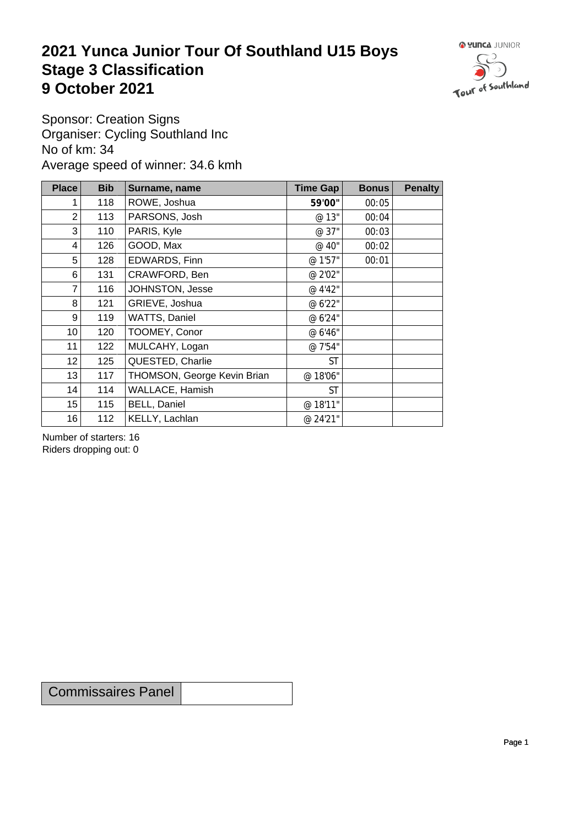## **2021 Yunca Junior Tour Of Southland U15 Boys** Stage 3 Classification<br>9 October 2021 **9 October 2021**



Sponsor: Creation Signs Organiser: Cycling Southland Inc No of km: 34 Average speed of winner: 34.6 kmh

| <b>Place</b>    | <b>Bib</b> | Surname, name               | Time Gap  | <b>Bonus</b> | <b>Penalty</b> |
|-----------------|------------|-----------------------------|-----------|--------------|----------------|
|                 | 118        | ROWE, Joshua                | 59'00"    | 00:05        |                |
| $\overline{2}$  | 113        | PARSONS, Josh               | @ 13"     | 00:04        |                |
| 3               | 110        | PARIS, Kyle                 | @ 37"     | 00:03        |                |
| 4               | 126        | GOOD, Max                   | @ 40"     | 00:02        |                |
| 5               | 128        | EDWARDS, Finn               | @ 1'57"   | 00:01        |                |
| 6               | 131        | CRAWFORD, Ben               | @ 2'02"   |              |                |
| 7               | 116        | JOHNSTON, Jesse             | @ 4'42"   |              |                |
| 8               | 121        | GRIEVE, Joshua              | @ 6'22"   |              |                |
| 9               | 119        | WATTS, Daniel               | @ 6'24"   |              |                |
| 10 <sup>1</sup> | 120        | TOOMEY, Conor               | @ 6'46"   |              |                |
| 11              | 122        | MULCAHY, Logan              | @ 7'54"   |              |                |
| 12              | 125        | QUESTED, Charlie            | <b>ST</b> |              |                |
| 13              | 117        | THOMSON, George Kevin Brian | @18'06"   |              |                |
| 14              | 114        | WALLACE, Hamish             | <b>ST</b> |              |                |
| 15              | 115        | <b>BELL, Daniel</b>         | @ 18'11"  |              |                |
| 16              | 112        | KELLY, Lachlan              | @ 24'21"  |              |                |

Number of starters: 16 Riders dropping out: 0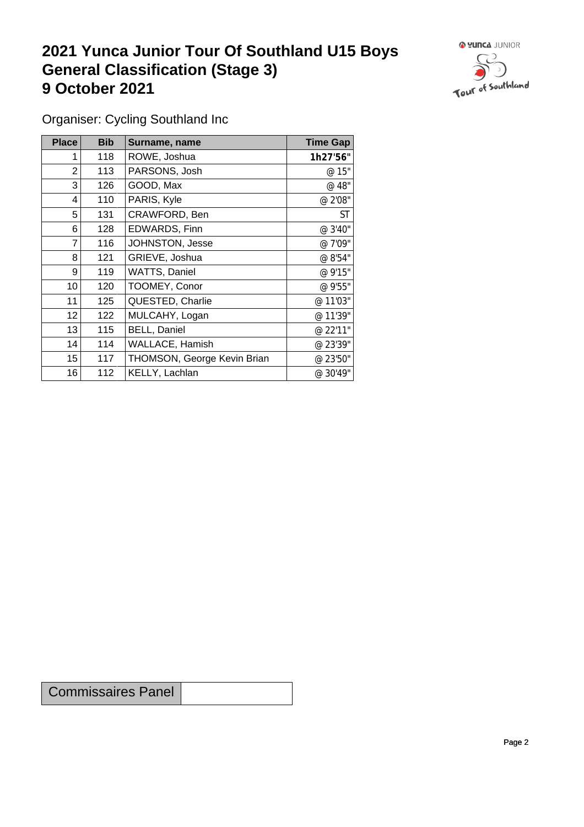## **2021 Yunca Junior Tour Of Southland U15 Boys General Classification (Stage 3)**<br> **9 October 2021 9 October 2021**



Organiser: Cycling Southland Inc

| Place            | <b>Bib</b> | Surname, name               | <b>Time Gap</b> |
|------------------|------------|-----------------------------|-----------------|
|                  | 118        | ROWE, Joshua                | 1h27'56"        |
| 2                | 113        | PARSONS, Josh               | @ 15"           |
| 3                | 126        | GOOD, Max                   | @ 48"           |
| 4                | 110        | PARIS, Kyle                 | @ 2'08"         |
| 5                | 131        | CRAWFORD, Ben               | <b>ST</b>       |
| 6                | 128        | EDWARDS, Finn               | @ 3'40"         |
| $\overline{7}$   | 116        | JOHNSTON, Jesse             | @ 7'09"         |
| 8                | 121        | GRIEVE, Joshua              | @ 8'54"         |
| 9                | 119        | WATTS, Daniel               | @ 9'15"         |
| 10 <sup>°</sup>  | 120        | TOOMEY, Conor               | @ 9'55"         |
| 11               | 125        | QUESTED, Charlie            | @ 11'03"        |
| 12               | 122        | MULCAHY, Logan              | @ 11'39"        |
| 13               | 115        | <b>BELL, Daniel</b>         | @ 22'11"        |
| 14               | 114        | WALLACE, Hamish             | @ 23'39"        |
| 15 <sub>15</sub> | 117        | THOMSON, George Kevin Brian | @ 23'50"        |
| 16               | 112        | KELLY, Lachlan              | @ 30'49"        |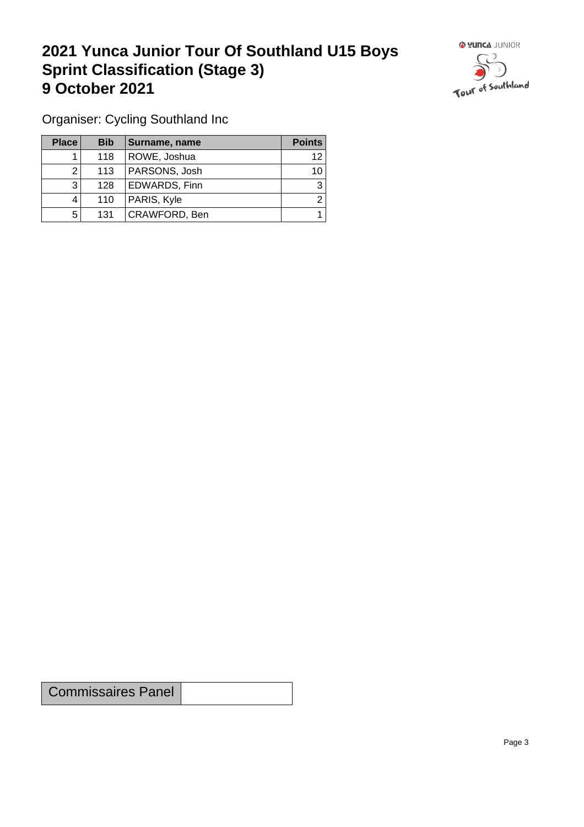## **2021 Yunca Junior Tour Of Southland U15 Boys Sprint Classification (Stage 3) 9 October 2021 19 October 2021**



Organiser: Cycling Southland Inc

| <b>Place</b> | <b>Bib</b> | Surname, name | <b>Points</b> |
|--------------|------------|---------------|---------------|
|              | 118        | ROWE, Joshua  | 12            |
| ົ            | 113        | PARSONS, Josh | 10            |
| 3            | 128        | EDWARDS, Finn | 3             |
|              | 110        | PARIS, Kyle   | ົ             |
| 5            | 131        | CRAWFORD, Ben |               |